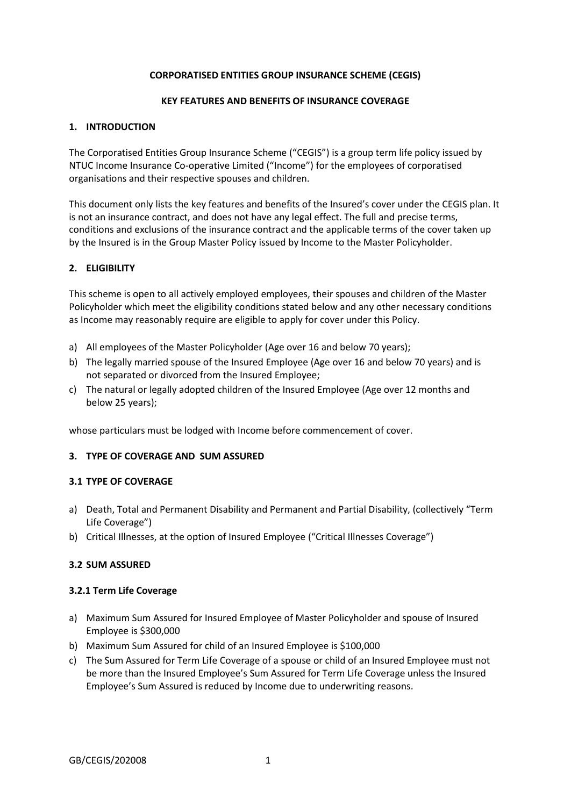### **CORPORATISED ENTITIES GROUP INSURANCE SCHEME (CEGIS)**

### **KEY FEATURES AND BENEFITS OF INSURANCE COVERAGE**

### **1. INTRODUCTION**

The Corporatised Entities Group Insurance Scheme ("CEGIS") is a group term life policy issued by NTUC Income Insurance Co-operative Limited ("Income") for the employees of corporatised organisations and their respective spouses and children.

This document only lists the key features and benefits of the Insured's cover under the CEGIS plan. It is not an insurance contract, and does not have any legal effect. The full and precise terms, conditions and exclusions of the insurance contract and the applicable terms of the cover taken up by the Insured is in the Group Master Policy issued by Income to the Master Policyholder.

### **2. ELIGIBILITY**

This scheme is open to all actively employed employees, their spouses and children of the Master Policyholder which meet the eligibility conditions stated below and any other necessary conditions as Income may reasonably require are eligible to apply for cover under this Policy.

- a) All employees of the Master Policyholder (Age over 16 and below 70 years);
- b) The legally married spouse of the Insured Employee (Age over 16 and below 70 years) and is not separated or divorced from the Insured Employee;
- c) The natural or legally adopted children of the Insured Employee (Age over 12 months and below 25 years);

whose particulars must be lodged with Income before commencement of cover.

# **3. TYPE OF COVERAGE AND SUM ASSURED**

### **3.1 TYPE OF COVERAGE**

- a) Death, Total and Permanent Disability and Permanent and Partial Disability, (collectively "Term Life Coverage")
- b) Critical Illnesses, at the option of Insured Employee ("Critical Illnesses Coverage")

### **3.2 SUM ASSURED**

#### **3.2.1 Term Life Coverage**

- a) Maximum Sum Assured for Insured Employee of Master Policyholder and spouse of Insured Employee is \$300,000
- b) Maximum Sum Assured for child of an Insured Employee is \$100,000
- c) The Sum Assured for Term Life Coverage of a spouse or child of an Insured Employee must not be more than the Insured Employee's Sum Assured for Term Life Coverage unless the Insured Employee's Sum Assured is reduced by Income due to underwriting reasons.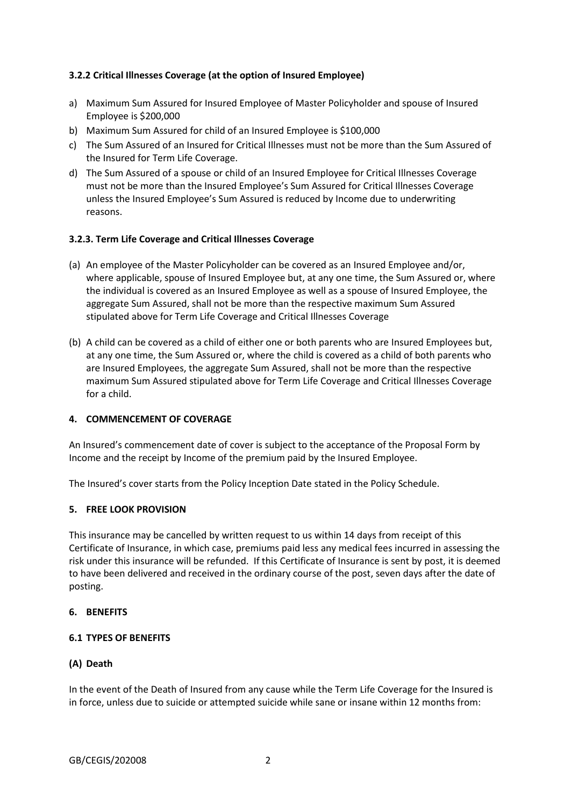# **3.2.2 Critical Illnesses Coverage (at the option of Insured Employee)**

- a) Maximum Sum Assured for Insured Employee of Master Policyholder and spouse of Insured Employee is \$200,000
- b) Maximum Sum Assured for child of an Insured Employee is \$100,000
- c) The Sum Assured of an Insured for Critical Illnesses must not be more than the Sum Assured of the Insured for Term Life Coverage.
- d) The Sum Assured of a spouse or child of an Insured Employee for Critical Illnesses Coverage must not be more than the Insured Employee's Sum Assured for Critical Illnesses Coverage unless the Insured Employee's Sum Assured is reduced by Income due to underwriting reasons.

### **3.2.3. Term Life Coverage and Critical Illnesses Coverage**

- (a) An employee of the Master Policyholder can be covered as an Insured Employee and/or, where applicable, spouse of Insured Employee but, at any one time, the Sum Assured or, where the individual is covered as an Insured Employee as well as a spouse of Insured Employee, the aggregate Sum Assured, shall not be more than the respective maximum Sum Assured stipulated above for Term Life Coverage and Critical Illnesses Coverage
- (b) A child can be covered as a child of either one or both parents who are Insured Employees but, at any one time, the Sum Assured or, where the child is covered as a child of both parents who are Insured Employees, the aggregate Sum Assured, shall not be more than the respective maximum Sum Assured stipulated above for Term Life Coverage and Critical Illnesses Coverage for a child.

### **4. COMMENCEMENT OF COVERAGE**

An Insured's commencement date of cover is subject to the acceptance of the Proposal Form by Income and the receipt by Income of the premium paid by the Insured Employee.

The Insured's cover starts from the Policy Inception Date stated in the Policy Schedule.

# **5. FREE LOOK PROVISION**

This insurance may be cancelled by written request to us within 14 days from receipt of this Certificate of Insurance, in which case, premiums paid less any medical fees incurred in assessing the risk under this insurance will be refunded. If this Certificate of Insurance is sent by post, it is deemed to have been delivered and received in the ordinary course of the post, seven days after the date of posting.

### **6. BENEFITS**

## **6.1 TYPES OF BENEFITS**

# **(A) Death**

In the event of the Death of Insured from any cause while the Term Life Coverage for the Insured is in force, unless due to suicide or attempted suicide while sane or insane within 12 months from: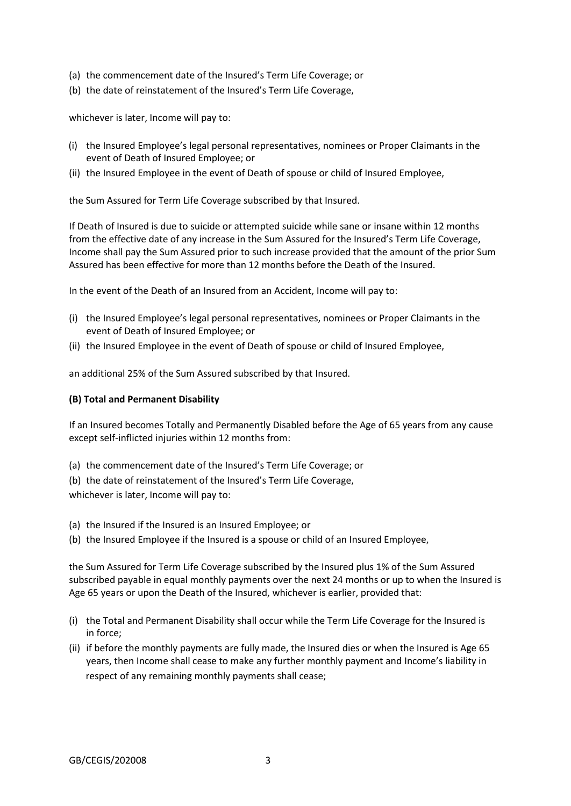- (a) the commencement date of the Insured's Term Life Coverage; or
- (b) the date of reinstatement of the Insured's Term Life Coverage,

whichever is later, Income will pay to:

- (i) the Insured Employee's legal personal representatives, nominees or Proper Claimants in the event of Death of Insured Employee; or
- (ii) the Insured Employee in the event of Death of spouse or child of Insured Employee,

the Sum Assured for Term Life Coverage subscribed by that Insured.

If Death of Insured is due to suicide or attempted suicide while sane or insane within 12 months from the effective date of any increase in the Sum Assured for the Insured's Term Life Coverage, Income shall pay the Sum Assured prior to such increase provided that the amount of the prior Sum Assured has been effective for more than 12 months before the Death of the Insured.

In the event of the Death of an Insured from an Accident, Income will pay to:

- (i) the Insured Employee's legal personal representatives, nominees or Proper Claimants in the event of Death of Insured Employee; or
- (ii) the Insured Employee in the event of Death of spouse or child of Insured Employee,

an additional 25% of the Sum Assured subscribed by that Insured.

# **(B) Total and Permanent Disability**

If an Insured becomes Totally and Permanently Disabled before the Age of 65 years from any cause except self-inflicted injuries within 12 months from:

- (a) the commencement date of the Insured's Term Life Coverage; or
- (b) the date of reinstatement of the Insured's Term Life Coverage,

whichever is later, Income will pay to:

- (a) the Insured if the Insured is an Insured Employee; or
- (b) the Insured Employee if the Insured is a spouse or child of an Insured Employee,

the Sum Assured for Term Life Coverage subscribed by the Insured plus 1% of the Sum Assured subscribed payable in equal monthly payments over the next 24 months or up to when the Insured is Age 65 years or upon the Death of the Insured, whichever is earlier, provided that:

- (i) the Total and Permanent Disability shall occur while the Term Life Coverage for the Insured is in force;
- (ii) if before the monthly payments are fully made, the Insured dies or when the Insured is Age 65 years, then Income shall cease to make any further monthly payment and Income's liability in respect of any remaining monthly payments shall cease;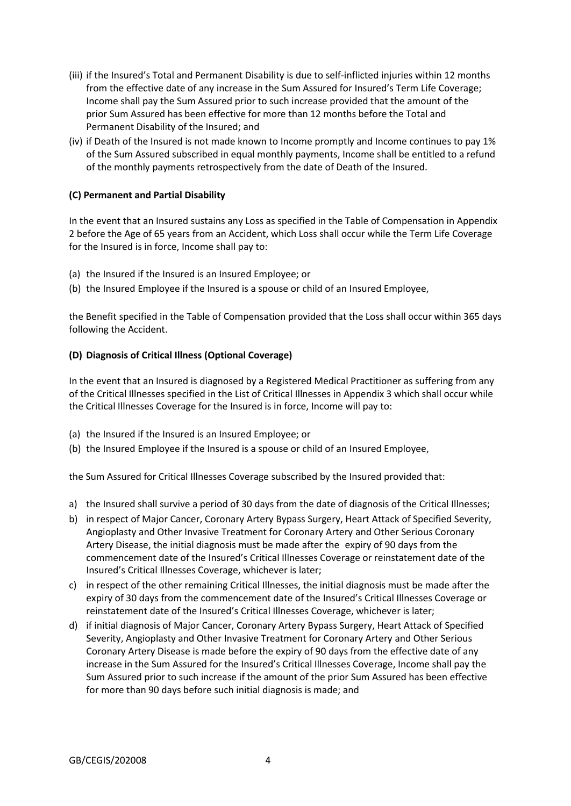- (iii) if the Insured's Total and Permanent Disability is due to self-inflicted injuries within 12 months from the effective date of any increase in the Sum Assured for Insured's Term Life Coverage; Income shall pay the Sum Assured prior to such increase provided that the amount of the prior Sum Assured has been effective for more than 12 months before the Total and Permanent Disability of the Insured; and
- (iv) if Death of the Insured is not made known to Income promptly and Income continues to pay 1% of the Sum Assured subscribed in equal monthly payments, Income shall be entitled to a refund of the monthly payments retrospectively from the date of Death of the Insured.

# **(C) Permanent and Partial Disability**

In the event that an Insured sustains any Loss as specified in the Table of Compensation in Appendix 2 before the Age of 65 years from an Accident, which Loss shall occur while the Term Life Coverage for the Insured is in force, Income shall pay to:

- (a) the Insured if the Insured is an Insured Employee; or
- (b) the Insured Employee if the Insured is a spouse or child of an Insured Employee,

the Benefit specified in the Table of Compensation provided that the Loss shall occur within 365 days following the Accident.

# **(D) Diagnosis of Critical Illness (Optional Coverage)**

In the event that an Insured is diagnosed by a Registered Medical Practitioner as suffering from any of the Critical Illnesses specified in the List of Critical Illnesses in Appendix 3 which shall occur while the Critical Illnesses Coverage for the Insured is in force, Income will pay to:

- (a) the Insured if the Insured is an Insured Employee; or
- (b) the Insured Employee if the Insured is a spouse or child of an Insured Employee,

the Sum Assured for Critical Illnesses Coverage subscribed by the Insured provided that:

- a) the Insured shall survive a period of 30 days from the date of diagnosis of the Critical Illnesses;
- b) in respect of Major Cancer, Coronary Artery Bypass Surgery, Heart Attack of Specified Severity, Angioplasty and Other Invasive Treatment for Coronary Artery and Other Serious Coronary Artery Disease, the initial diagnosis must be made after the expiry of 90 days from the commencement date of the Insured's Critical Illnesses Coverage or reinstatement date of the Insured's Critical Illnesses Coverage, whichever is later;
- c) in respect of the other remaining Critical Illnesses, the initial diagnosis must be made after the expiry of 30 days from the commencement date of the Insured's Critical Illnesses Coverage or reinstatement date of the Insured's Critical Illnesses Coverage, whichever is later;
- d) if initial diagnosis of Major Cancer, Coronary Artery Bypass Surgery, Heart Attack of Specified Severity, Angioplasty and Other Invasive Treatment for Coronary Artery and Other Serious Coronary Artery Disease is made before the expiry of 90 days from the effective date of any increase in the Sum Assured for the Insured's Critical Illnesses Coverage, Income shall pay the Sum Assured prior to such increase if the amount of the prior Sum Assured has been effective for more than 90 days before such initial diagnosis is made; and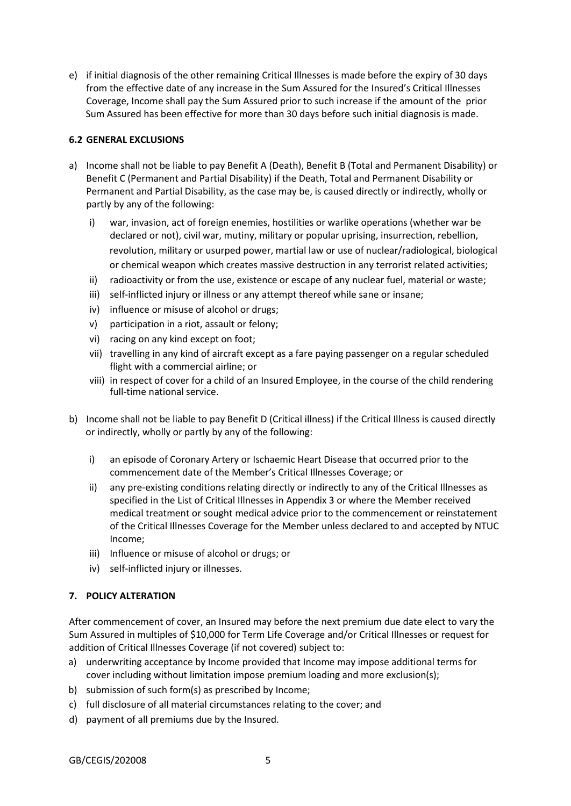e) if initial diagnosis of the other remaining Critical Illnesses is made before the expiry of 30 days from the effective date of any increase in the Sum Assured for the Insured's Critical Illnesses Coverage, Income shall pay the Sum Assured prior to such increase if the amount of the prior Sum Assured has been effective for more than 30 days before such initial diagnosis is made.

# **6.2 GENERAL EXCLUSIONS**

- a) Income shall not be liable to pay Benefit A (Death), Benefit B (Total and Permanent Disability) or Benefit C (Permanent and Partial Disability) if the Death, Total and Permanent Disability or Permanent and Partial Disability, as the case may be, is caused directly or indirectly, wholly or partly by any of the following:
	- i) war, invasion, act of foreign enemies, hostilities or warlike operations (whether war be declared or not), civil war, mutiny, military or popular uprising, insurrection, rebellion, revolution, military or usurped power, martial law or use of nuclear/radiological, biological or chemical weapon which creates massive destruction in any terrorist related activities;
	- ii) radioactivity or from the use, existence or escape of any nuclear fuel, material or waste;
	- iii) self-inflicted injury or illness or any attempt thereof while sane or insane;
	- iv) influence or misuse of alcohol or drugs;
	- v) participation in a riot, assault or felony;
	- vi) racing on any kind except on foot;
	- vii) travelling in any kind of aircraft except as a fare paying passenger on a regular scheduled flight with a commercial airline; or
	- viii) in respect of cover for a child of an Insured Employee, in the course of the child rendering full-time national service.
- b) Income shall not be liable to pay Benefit D (Critical illness) if the Critical Illness is caused directly or indirectly, wholly or partly by any of the following:
	- i) an episode of Coronary Artery or Ischaemic Heart Disease that occurred prior to the commencement date of the Member's Critical Illnesses Coverage; or
	- ii) any pre-existing conditions relating directly or indirectly to any of the Critical Illnesses as specified in the List of Critical Illnesses in Appendix 3 or where the Member received medical treatment or sought medical advice prior to the commencement or reinstatement of the Critical Illnesses Coverage for the Member unless declared to and accepted by NTUC Income;
	- iii) Influence or misuse of alcohol or drugs; or
	- iv) self-inflicted injury or illnesses.

# **7. POLICY ALTERATION**

After commencement of cover, an Insured may before the next premium due date elect to vary the Sum Assured in multiples of \$10,000 for Term Life Coverage and/or Critical Illnesses or request for addition of Critical Illnesses Coverage (if not covered) subject to:

- a) underwriting acceptance by Income provided that Income may impose additional terms for cover including without limitation impose premium loading and more exclusion(s);
- b) submission of such form(s) as prescribed by Income;
- c) full disclosure of all material circumstances relating to the cover; and
- d) payment of all premiums due by the Insured.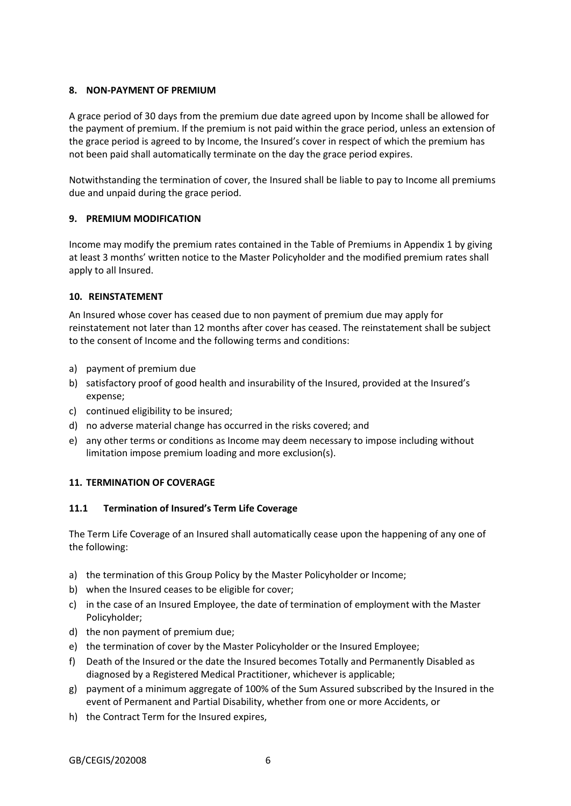# **8. NON-PAYMENT OF PREMIUM**

A grace period of 30 days from the premium due date agreed upon by Income shall be allowed for the payment of premium. If the premium is not paid within the grace period, unless an extension of the grace period is agreed to by Income, the Insured's cover in respect of which the premium has not been paid shall automatically terminate on the day the grace period expires.

Notwithstanding the termination of cover, the Insured shall be liable to pay to Income all premiums due and unpaid during the grace period.

# **9. PREMIUM MODIFICATION**

Income may modify the premium rates contained in the Table of Premiums in Appendix 1 by giving at least 3 months' written notice to the Master Policyholder and the modified premium rates shall apply to all Insured.

### **10. REINSTATEMENT**

An Insured whose cover has ceased due to non payment of premium due may apply for reinstatement not later than 12 months after cover has ceased. The reinstatement shall be subject to the consent of Income and the following terms and conditions:

- a) payment of premium due
- b) satisfactory proof of good health and insurability of the Insured, provided at the Insured's expense;
- c) continued eligibility to be insured;
- d) no adverse material change has occurred in the risks covered; and
- e) any other terms or conditions as Income may deem necessary to impose including without limitation impose premium loading and more exclusion(s).

# **11. TERMINATION OF COVERAGE**

### **11.1 Termination of Insured's Term Life Coverage**

The Term Life Coverage of an Insured shall automatically cease upon the happening of any one of the following:

- a) the termination of this Group Policy by the Master Policyholder or Income;
- b) when the Insured ceases to be eligible for cover;
- c) in the case of an Insured Employee, the date of termination of employment with the Master Policyholder;
- d) the non payment of premium due;
- e) the termination of cover by the Master Policyholder or the Insured Employee;
- f) Death of the Insured or the date the Insured becomes Totally and Permanently Disabled as diagnosed by a Registered Medical Practitioner, whichever is applicable;
- g) payment of a minimum aggregate of 100% of the Sum Assured subscribed by the Insured in the event of Permanent and Partial Disability, whether from one or more Accidents, or
- h) the Contract Term for the Insured expires,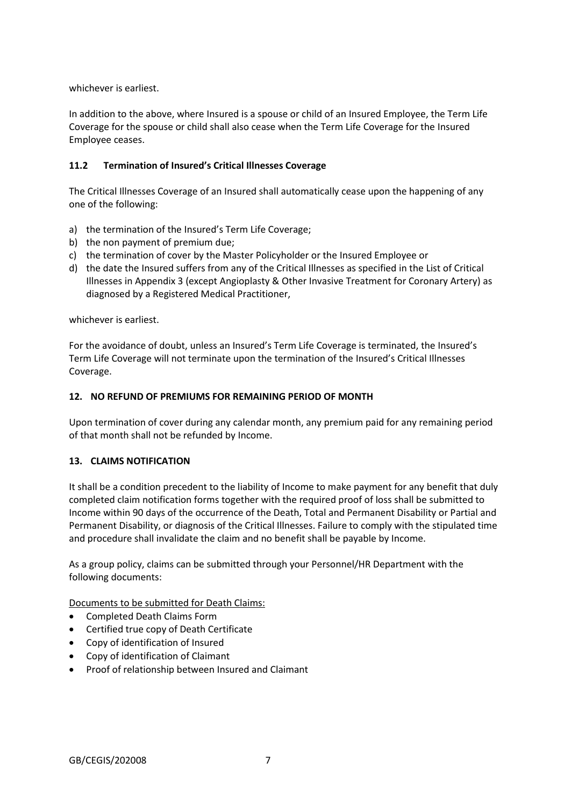whichever is earliest.

In addition to the above, where Insured is a spouse or child of an Insured Employee, the Term Life Coverage for the spouse or child shall also cease when the Term Life Coverage for the Insured Employee ceases.

# **11.2 Termination of Insured's Critical Illnesses Coverage**

The Critical Illnesses Coverage of an Insured shall automatically cease upon the happening of any one of the following:

- a) the termination of the Insured's Term Life Coverage;
- b) the non payment of premium due;
- c) the termination of cover by the Master Policyholder or the Insured Employee or
- d) the date the Insured suffers from any of the Critical Illnesses as specified in the List of Critical Illnesses in Appendix 3 (except Angioplasty & Other Invasive Treatment for Coronary Artery) as diagnosed by a Registered Medical Practitioner,

whichever is earliest.

For the avoidance of doubt, unless an Insured's Term Life Coverage is terminated, the Insured's Term Life Coverage will not terminate upon the termination of the Insured's Critical Illnesses Coverage.

### **12. NO REFUND OF PREMIUMS FOR REMAINING PERIOD OF MONTH**

Upon termination of cover during any calendar month, any premium paid for any remaining period of that month shall not be refunded by Income.

### **13. CLAIMS NOTIFICATION**

It shall be a condition precedent to the liability of Income to make payment for any benefit that duly completed claim notification forms together with the required proof of loss shall be submitted to Income within 90 days of the occurrence of the Death, Total and Permanent Disability or Partial and Permanent Disability, or diagnosis of the Critical Illnesses. Failure to comply with the stipulated time and procedure shall invalidate the claim and no benefit shall be payable by Income.

As a group policy, claims can be submitted through your Personnel/HR Department with the following documents:

Documents to be submitted for Death Claims:

- Completed Death Claims Form
- Certified true copy of Death Certificate
- Copy of identification of Insured
- Copy of identification of Claimant
- Proof of relationship between Insured and Claimant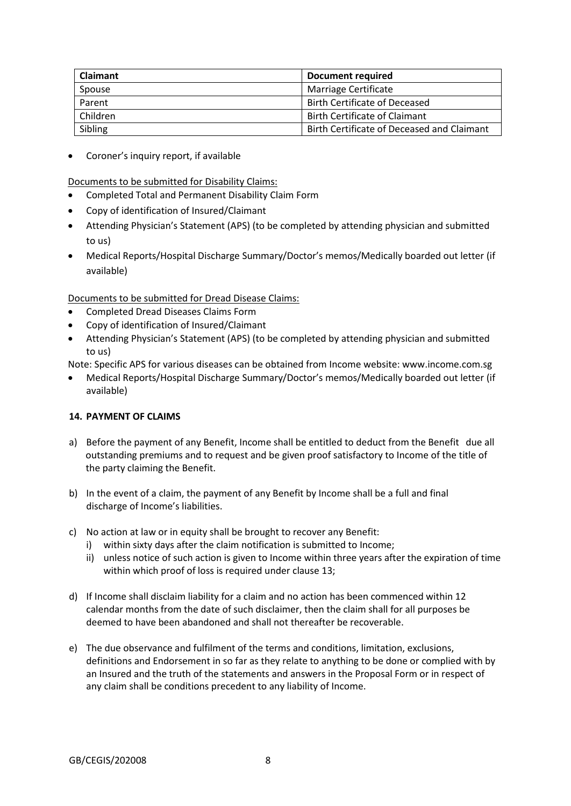| <b>Claimant</b> | Document required                          |
|-----------------|--------------------------------------------|
| Spouse          | Marriage Certificate                       |
| Parent          | <b>Birth Certificate of Deceased</b>       |
| Children        | <b>Birth Certificate of Claimant</b>       |
| Sibling         | Birth Certificate of Deceased and Claimant |

Coroner's inquiry report, if available

Documents to be submitted for Disability Claims:

- Completed Total and Permanent Disability Claim Form
- Copy of identification of Insured/Claimant
- Attending Physician's Statement (APS) (to be completed by attending physician and submitted to us)
- Medical Reports/Hospital Discharge Summary/Doctor's memos/Medically boarded out letter (if available)

Documents to be submitted for Dread Disease Claims:

- Completed Dread Diseases Claims Form
- Copy of identification of Insured/Claimant
- Attending Physician's Statement (APS) (to be completed by attending physician and submitted to us)
- Note: Specific APS for various diseases can be obtained from Income website: www.income.com.sg
- Medical Reports/Hospital Discharge Summary/Doctor's memos/Medically boarded out letter (if available)

# **14. PAYMENT OF CLAIMS**

- a) Before the payment of any Benefit, Income shall be entitled to deduct from the Benefit due all outstanding premiums and to request and be given proof satisfactory to Income of the title of the party claiming the Benefit.
- b) In the event of a claim, the payment of any Benefit by Income shall be a full and final discharge of Income's liabilities.
- c) No action at law or in equity shall be brought to recover any Benefit:
	- i) within sixty days after the claim notification is submitted to Income;
	- ii) unless notice of such action is given to Income within three years after the expiration of time within which proof of loss is required under clause 13;
- d) If Income shall disclaim liability for a claim and no action has been commenced within 12 calendar months from the date of such disclaimer, then the claim shall for all purposes be deemed to have been abandoned and shall not thereafter be recoverable.
- e) The due observance and fulfilment of the terms and conditions, limitation, exclusions, definitions and Endorsement in so far as they relate to anything to be done or complied with by an Insured and the truth of the statements and answers in the Proposal Form or in respect of any claim shall be conditions precedent to any liability of Income.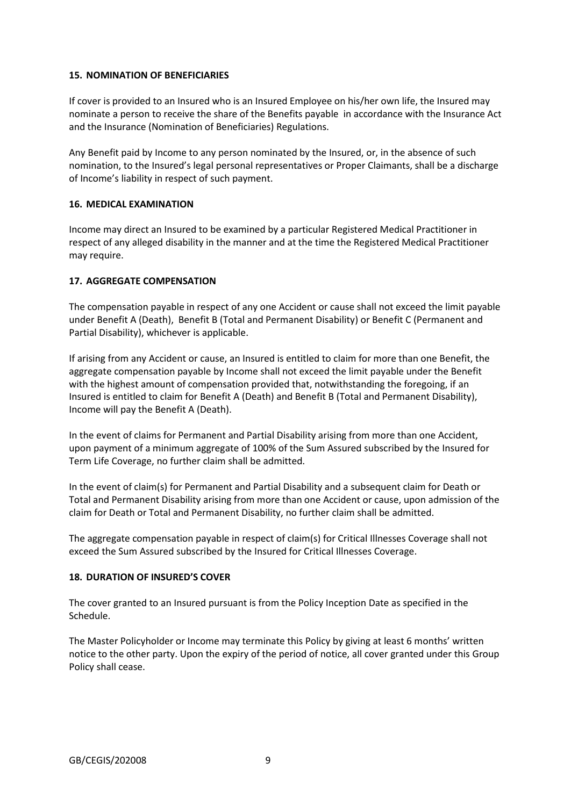### **15. NOMINATION OF BENEFICIARIES**

If cover is provided to an Insured who is an Insured Employee on his/her own life, the Insured may nominate a person to receive the share of the Benefits payable in accordance with the Insurance Act and the Insurance (Nomination of Beneficiaries) Regulations.

Any Benefit paid by Income to any person nominated by the Insured, or, in the absence of such nomination, to the Insured's legal personal representatives or Proper Claimants, shall be a discharge of Income's liability in respect of such payment.

### **16. MEDICAL EXAMINATION**

Income may direct an Insured to be examined by a particular Registered Medical Practitioner in respect of any alleged disability in the manner and at the time the Registered Medical Practitioner may require.

# **17. AGGREGATE COMPENSATION**

The compensation payable in respect of any one Accident or cause shall not exceed the limit payable under Benefit A (Death), Benefit B (Total and Permanent Disability) or Benefit C (Permanent and Partial Disability), whichever is applicable.

If arising from any Accident or cause, an Insured is entitled to claim for more than one Benefit, the aggregate compensation payable by Income shall not exceed the limit payable under the Benefit with the highest amount of compensation provided that, notwithstanding the foregoing, if an Insured is entitled to claim for Benefit A (Death) and Benefit B (Total and Permanent Disability), Income will pay the Benefit A (Death).

In the event of claims for Permanent and Partial Disability arising from more than one Accident, upon payment of a minimum aggregate of 100% of the Sum Assured subscribed by the Insured for Term Life Coverage, no further claim shall be admitted.

In the event of claim(s) for Permanent and Partial Disability and a subsequent claim for Death or Total and Permanent Disability arising from more than one Accident or cause, upon admission of the claim for Death or Total and Permanent Disability, no further claim shall be admitted.

The aggregate compensation payable in respect of claim(s) for Critical Illnesses Coverage shall not exceed the Sum Assured subscribed by the Insured for Critical Illnesses Coverage.

### **18. DURATION OF INSURED'S COVER**

The cover granted to an Insured pursuant is from the Policy Inception Date as specified in the Schedule.

The Master Policyholder or Income may terminate this Policy by giving at least 6 months' written notice to the other party. Upon the expiry of the period of notice, all cover granted under this Group Policy shall cease.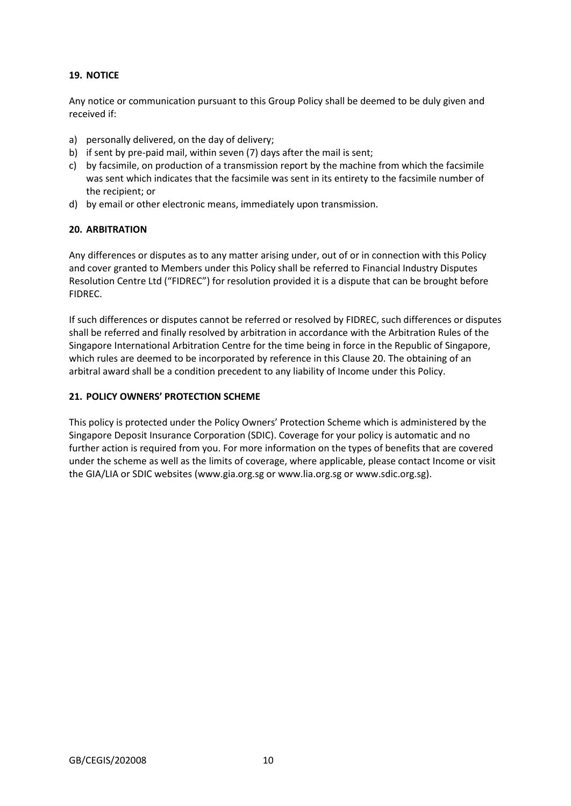# **19. NOTICE**

Any notice or communication pursuant to this Group Policy shall be deemed to be duly given and received if:

- a) personally delivered, on the day of delivery;
- b) if sent by pre-paid mail, within seven (7) days after the mail is sent;
- c) by facsimile, on production of a transmission report by the machine from which the facsimile was sent which indicates that the facsimile was sent in its entirety to the facsimile number of the recipient; or
- d) by email or other electronic means, immediately upon transmission.

# **20. ARBITRATION**

Any differences or disputes as to any matter arising under, out of or in connection with this Policy and cover granted to Members under this Policy shall be referred to Financial Industry Disputes Resolution Centre Ltd ("FIDREC") for resolution provided it is a dispute that can be brought before FIDREC.

If such differences or disputes cannot be referred or resolved by FIDREC, such differences or disputes shall be referred and finally resolved by arbitration in accordance with the Arbitration Rules of the Singapore International Arbitration Centre for the time being in force in the Republic of Singapore, which rules are deemed to be incorporated by reference in this Clause 20. The obtaining of an arbitral award shall be a condition precedent to any liability of Income under this Policy.

# **21. POLICY OWNERS' PROTECTION SCHEME**

This policy is protected under the Policy Owners' Protection Scheme which is administered by the Singapore Deposit Insurance Corporation (SDIC). Coverage for your policy is automatic and no further action is required from you. For more information on the types of benefits that are covered under the scheme as well as the limits of coverage, where applicable, please contact Income or visit the GIA/LIA or SDIC websites (www.gia.org.sg or www.lia.org.sg or www.sdic.org.sg).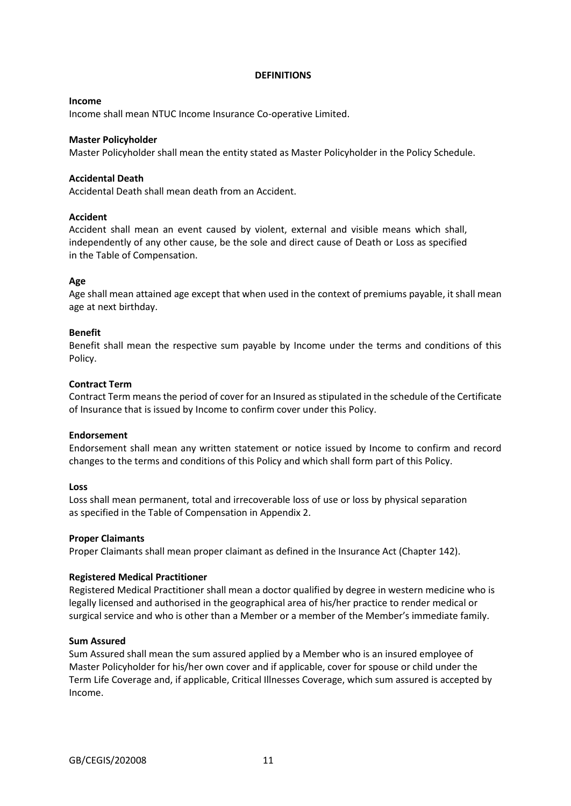#### **DEFINITIONS**

### **Income**

Income shall mean NTUC Income Insurance Co-operative Limited.

### **Master Policyholder**

Master Policyholder shall mean the entity stated as Master Policyholder in the Policy Schedule.

### **Accidental Death**

Accidental Death shall mean death from an Accident.

### **Accident**

Accident shall mean an event caused by violent, external and visible means which shall, independently of any other cause, be the sole and direct cause of Death or Loss as specified in the Table of Compensation.

### **Age**

Age shall mean attained age except that when used in the context of premiums payable, it shall mean age at next birthday.

### **Benefit**

Benefit shall mean the respective sum payable by Income under the terms and conditions of this Policy.

### **Contract Term**

Contract Term means the period of cover for an Insured as stipulated in the schedule of the Certificate of Insurance that is issued by Income to confirm cover under this Policy.

#### **Endorsement**

Endorsement shall mean any written statement or notice issued by Income to confirm and record changes to the terms and conditions of this Policy and which shall form part of this Policy.

#### **Loss**

Loss shall mean permanent, total and irrecoverable loss of use or loss by physical separation as specified in the Table of Compensation in Appendix 2.

#### **Proper Claimants**

Proper Claimants shall mean proper claimant as defined in the Insurance Act (Chapter 142).

### **Registered Medical Practitioner**

Registered Medical Practitioner shall mean a doctor qualified by degree in western medicine who is legally licensed and authorised in the geographical area of his/her practice to render medical or surgical service and who is other than a Member or a member of the Member's immediate family.

#### **Sum Assured**

Sum Assured shall mean the sum assured applied by a Member who is an insured employee of Master Policyholder for his/her own cover and if applicable, cover for spouse or child under the Term Life Coverage and, if applicable, Critical Illnesses Coverage, which sum assured is accepted by Income.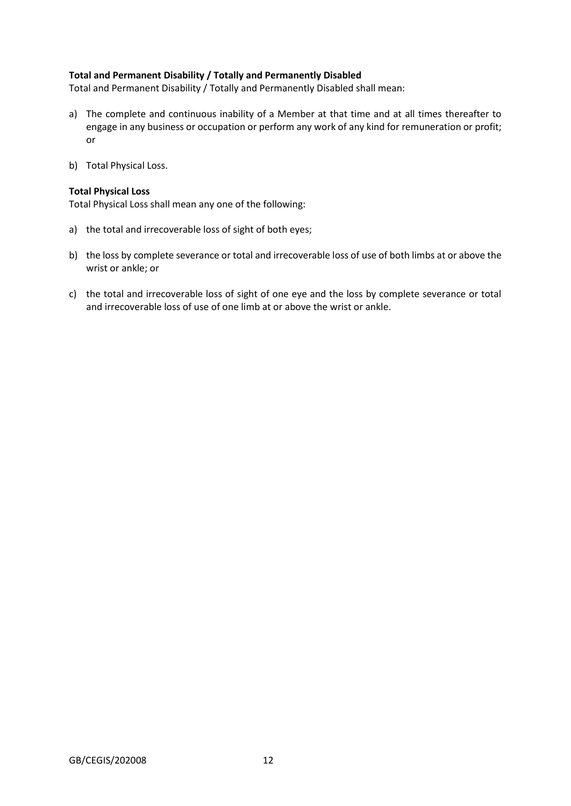# **Total and Permanent Disability / Totally and Permanently Disabled**

Total and Permanent Disability / Totally and Permanently Disabled shall mean:

- a) The complete and continuous inability of a Member at that time and at all times thereafter to engage in any business or occupation or perform any work of any kind for remuneration or profit; or
- b) Total Physical Loss.

#### **Total Physical Loss**

Total Physical Loss shall mean any one of the following:

- a) the total and irrecoverable loss of sight of both eyes;
- b) the loss by complete severance or total and irrecoverable loss of use of both limbs at or above the wrist or ankle; or
- c) the total and irrecoverable loss of sight of one eye and the loss by complete severance or total and irrecoverable loss of use of one limb at or above the wrist or ankle.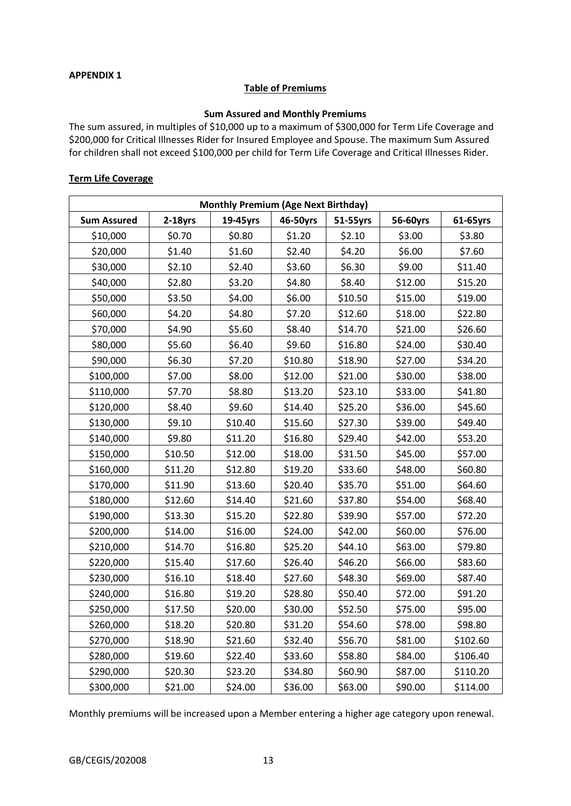### **APPENDIX 1**

### **Table of Premiums**

# **Sum Assured and Monthly Premiums**

The sum assured, in multiples of \$10,000 up to a maximum of \$300,000 for Term Life Coverage and \$200,000 for Critical Illnesses Rider for Insured Employee and Spouse. The maximum Sum Assured for children shall not exceed \$100,000 per child for Term Life Coverage and Critical Illnesses Rider.

### **Term Life Coverage**

| <b>Monthly Premium (Age Next Birthday)</b> |            |          |          |          |          |          |
|--------------------------------------------|------------|----------|----------|----------|----------|----------|
| <b>Sum Assured</b>                         | $2-18$ yrs | 19-45yrs | 46-50yrs | 51-55yrs | 56-60yrs | 61-65yrs |
| \$10,000                                   | \$0.70     | \$0.80   | \$1.20   | \$2.10   | \$3.00   | \$3.80   |
| \$20,000                                   | \$1.40     | \$1.60   | \$2.40   | \$4.20   | \$6.00   | \$7.60   |
| \$30,000                                   | \$2.10     | \$2.40   | \$3.60   | \$6.30   | \$9.00   | \$11.40  |
| \$40,000                                   | \$2.80     | \$3.20   | \$4.80   | \$8.40   | \$12.00  | \$15.20  |
| \$50,000                                   | \$3.50     | \$4.00   | \$6.00   | \$10.50  | \$15.00  | \$19.00  |
| \$60,000                                   | \$4.20     | \$4.80   | \$7.20   | \$12.60  | \$18.00  | \$22.80  |
| \$70,000                                   | \$4.90     | \$5.60   | \$8.40   | \$14.70  | \$21.00  | \$26.60  |
| \$80,000                                   | \$5.60     | \$6.40   | \$9.60   | \$16.80  | \$24.00  | \$30.40  |
| \$90,000                                   | \$6.30     | \$7.20   | \$10.80  | \$18.90  | \$27.00  | \$34.20  |
| \$100,000                                  | \$7.00     | \$8.00   | \$12.00  | \$21.00  | \$30.00  | \$38.00  |
| \$110,000                                  | \$7.70     | \$8.80   | \$13.20  | \$23.10  | \$33.00  | \$41.80  |
| \$120,000                                  | \$8.40     | \$9.60   | \$14.40  | \$25.20  | \$36.00  | \$45.60  |
| \$130,000                                  | \$9.10     | \$10.40  | \$15.60  | \$27.30  | \$39.00  | \$49.40  |
| \$140,000                                  | \$9.80     | \$11.20  | \$16.80  | \$29.40  | \$42.00  | \$53.20  |
| \$150,000                                  | \$10.50    | \$12.00  | \$18.00  | \$31.50  | \$45.00  | \$57.00  |
| \$160,000                                  | \$11.20    | \$12.80  | \$19.20  | \$33.60  | \$48.00  | \$60.80  |
| \$170,000                                  | \$11.90    | \$13.60  | \$20.40  | \$35.70  | \$51.00  | \$64.60  |
| \$180,000                                  | \$12.60    | \$14.40  | \$21.60  | \$37.80  | \$54.00  | \$68.40  |
| \$190,000                                  | \$13.30    | \$15.20  | \$22.80  | \$39.90  | \$57.00  | \$72.20  |
| \$200,000                                  | \$14.00    | \$16.00  | \$24.00  | \$42.00  | \$60.00  | \$76.00  |
| \$210,000                                  | \$14.70    | \$16.80  | \$25.20  | \$44.10  | \$63.00  | \$79.80  |
| \$220,000                                  | \$15.40    | \$17.60  | \$26.40  | \$46.20  | \$66.00  | \$83.60  |
| \$230,000                                  | \$16.10    | \$18.40  | \$27.60  | \$48.30  | \$69.00  | \$87.40  |
| \$240,000                                  | \$16.80    | \$19.20  | \$28.80  | \$50.40  | \$72.00  | \$91.20  |
| \$250,000                                  | \$17.50    | \$20.00  | \$30.00  | \$52.50  | \$75.00  | \$95.00  |
| \$260,000                                  | \$18.20    | \$20.80  | \$31.20  | \$54.60  | \$78.00  | \$98.80  |
| \$270,000                                  | \$18.90    | \$21.60  | \$32.40  | \$56.70  | \$81.00  | \$102.60 |
| \$280,000                                  | \$19.60    | \$22.40  | \$33.60  | \$58.80  | \$84.00  | \$106.40 |
| \$290,000                                  | \$20.30    | \$23.20  | \$34.80  | \$60.90  | \$87.00  | \$110.20 |
| \$300,000                                  | \$21.00    | \$24.00  | \$36.00  | \$63.00  | \$90.00  | \$114.00 |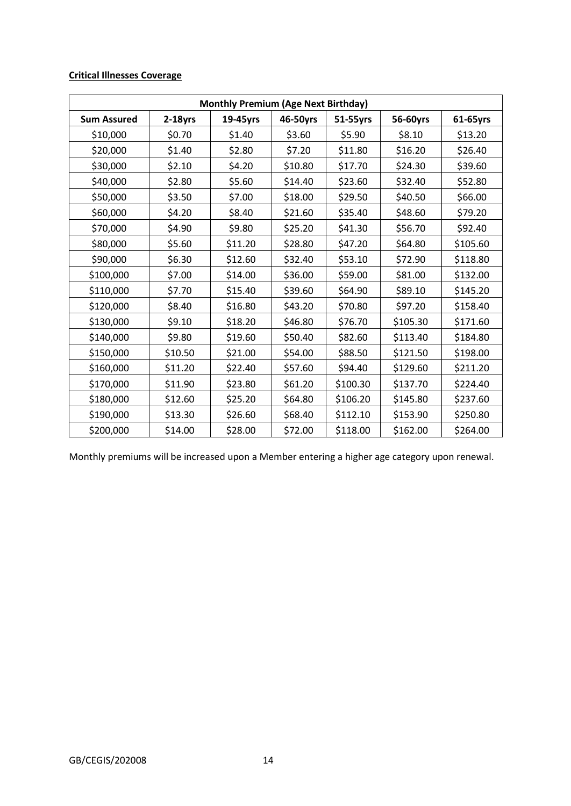# **Critical Illnesses Coverage**

| <b>Monthly Premium (Age Next Birthday)</b> |            |          |          |          |          |          |
|--------------------------------------------|------------|----------|----------|----------|----------|----------|
| <b>Sum Assured</b>                         | $2-18$ yrs | 19-45yrs | 46-50yrs | 51-55yrs | 56-60yrs | 61-65yrs |
| \$10,000                                   | \$0.70     | \$1.40   | \$3.60   | \$5.90   | \$8.10   | \$13.20  |
| \$20,000                                   | \$1.40     | \$2.80   | \$7.20   | \$11.80  | \$16.20  | \$26.40  |
| \$30,000                                   | \$2.10     | \$4.20   | \$10.80  | \$17.70  | \$24.30  | \$39.60  |
| \$40,000                                   | \$2.80     | \$5.60   | \$14.40  | \$23.60  | \$32.40  | \$52.80  |
| \$50,000                                   | \$3.50     | \$7.00   | \$18.00  | \$29.50  | \$40.50  | \$66.00  |
| \$60,000                                   | \$4.20     | \$8.40   | \$21.60  | \$35.40  | \$48.60  | \$79.20  |
| \$70,000                                   | \$4.90     | \$9.80   | \$25.20  | \$41.30  | \$56.70  | \$92.40  |
| \$80,000                                   | \$5.60     | \$11.20  | \$28.80  | \$47.20  | \$64.80  | \$105.60 |
| \$90,000                                   | \$6.30     | \$12.60  | \$32.40  | \$53.10  | \$72.90  | \$118.80 |
| \$100,000                                  | \$7.00     | \$14.00  | \$36.00  | \$59.00  | \$81.00  | \$132.00 |
| \$110,000                                  | \$7.70     | \$15.40  | \$39.60  | \$64.90  | \$89.10  | \$145.20 |
| \$120,000                                  | \$8.40     | \$16.80  | \$43.20  | \$70.80  | \$97.20  | \$158.40 |
| \$130,000                                  | \$9.10     | \$18.20  | \$46.80  | \$76.70  | \$105.30 | \$171.60 |
| \$140,000                                  | \$9.80     | \$19.60  | \$50.40  | \$82.60  | \$113.40 | \$184.80 |
| \$150,000                                  | \$10.50    | \$21.00  | \$54.00  | \$88.50  | \$121.50 | \$198.00 |
| \$160,000                                  | \$11.20    | \$22.40  | \$57.60  | \$94.40  | \$129.60 | \$211.20 |
| \$170,000                                  | \$11.90    | \$23.80  | \$61.20  | \$100.30 | \$137.70 | \$224.40 |
| \$180,000                                  | \$12.60    | \$25.20  | \$64.80  | \$106.20 | \$145.80 | \$237.60 |
| \$190,000                                  | \$13.30    | \$26.60  | \$68.40  | \$112.10 | \$153.90 | \$250.80 |
| \$200,000                                  | \$14.00    | \$28.00  | \$72.00  | \$118.00 | \$162.00 | \$264.00 |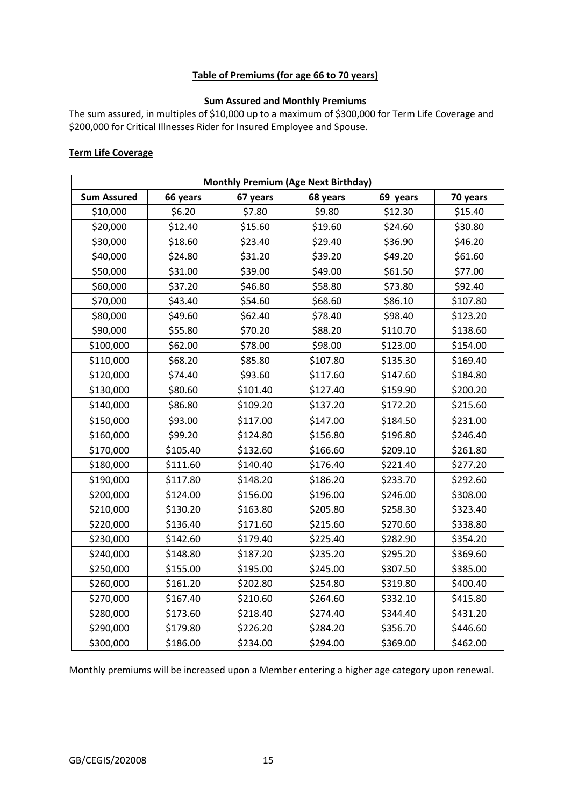# **Table of Premiums (for age 66 to 70 years)**

# **Sum Assured and Monthly Premiums**

The sum assured, in multiples of \$10,000 up to a maximum of \$300,000 for Term Life Coverage and \$200,000 for Critical Illnesses Rider for Insured Employee and Spouse.

# **Term Life Coverage**

| <b>Monthly Premium (Age Next Birthday)</b> |          |          |          |          |          |  |
|--------------------------------------------|----------|----------|----------|----------|----------|--|
| <b>Sum Assured</b>                         | 66 years | 67 years | 68 years | 69 years | 70 years |  |
| \$10,000                                   | \$6.20   | \$7.80   | \$9.80   | \$12.30  | \$15.40  |  |
| \$20,000                                   | \$12.40  | \$15.60  | \$19.60  | \$24.60  | \$30.80  |  |
| \$30,000                                   | \$18.60  | \$23.40  | \$29.40  | \$36.90  | \$46.20  |  |
| \$40,000                                   | \$24.80  | \$31.20  | \$39.20  | \$49.20  | \$61.60  |  |
| \$50,000                                   | \$31.00  | \$39.00  | \$49.00  | \$61.50  | \$77.00  |  |
| \$60,000                                   | \$37.20  | \$46.80  | \$58.80  | \$73.80  | \$92.40  |  |
| \$70,000                                   | \$43.40  | \$54.60  | \$68.60  | \$86.10  | \$107.80 |  |
| \$80,000                                   | \$49.60  | \$62.40  | \$78.40  | \$98.40  | \$123.20 |  |
| \$90,000                                   | \$55.80  | \$70.20  | \$88.20  | \$110.70 | \$138.60 |  |
| \$100,000                                  | \$62.00  | \$78.00  | \$98.00  | \$123.00 | \$154.00 |  |
| \$110,000                                  | \$68.20  | \$85.80  | \$107.80 | \$135.30 | \$169.40 |  |
| \$120,000                                  | \$74.40  | \$93.60  | \$117.60 | \$147.60 | \$184.80 |  |
| \$130,000                                  | \$80.60  | \$101.40 | \$127.40 | \$159.90 | \$200.20 |  |
| \$140,000                                  | \$86.80  | \$109.20 | \$137.20 | \$172.20 | \$215.60 |  |
| \$150,000                                  | \$93.00  | \$117.00 | \$147.00 | \$184.50 | \$231.00 |  |
| \$160,000                                  | \$99.20  | \$124.80 | \$156.80 | \$196.80 | \$246.40 |  |
| \$170,000                                  | \$105.40 | \$132.60 | \$166.60 | \$209.10 | \$261.80 |  |
| \$180,000                                  | \$111.60 | \$140.40 | \$176.40 | \$221.40 | \$277.20 |  |
| \$190,000                                  | \$117.80 | \$148.20 | \$186.20 | \$233.70 | \$292.60 |  |
| \$200,000                                  | \$124.00 | \$156.00 | \$196.00 | \$246.00 | \$308.00 |  |
| \$210,000                                  | \$130.20 | \$163.80 | \$205.80 | \$258.30 | \$323.40 |  |
| \$220,000                                  | \$136.40 | \$171.60 | \$215.60 | \$270.60 | \$338.80 |  |
| \$230,000                                  | \$142.60 | \$179.40 | \$225.40 | \$282.90 | \$354.20 |  |
| \$240,000                                  | \$148.80 | \$187.20 | \$235.20 | \$295.20 | \$369.60 |  |
| \$250,000                                  | \$155.00 | \$195.00 | \$245.00 | \$307.50 | \$385.00 |  |
| \$260,000                                  | \$161.20 | \$202.80 | \$254.80 | \$319.80 | \$400.40 |  |
| \$270,000                                  | \$167.40 | \$210.60 | \$264.60 | \$332.10 | \$415.80 |  |
| \$280,000                                  | \$173.60 | \$218.40 | \$274.40 | \$344.40 | \$431.20 |  |
| \$290,000                                  | \$179.80 | \$226.20 | \$284.20 | \$356.70 | \$446.60 |  |
| \$300,000                                  | \$186.00 | \$234.00 | \$294.00 | \$369.00 | \$462.00 |  |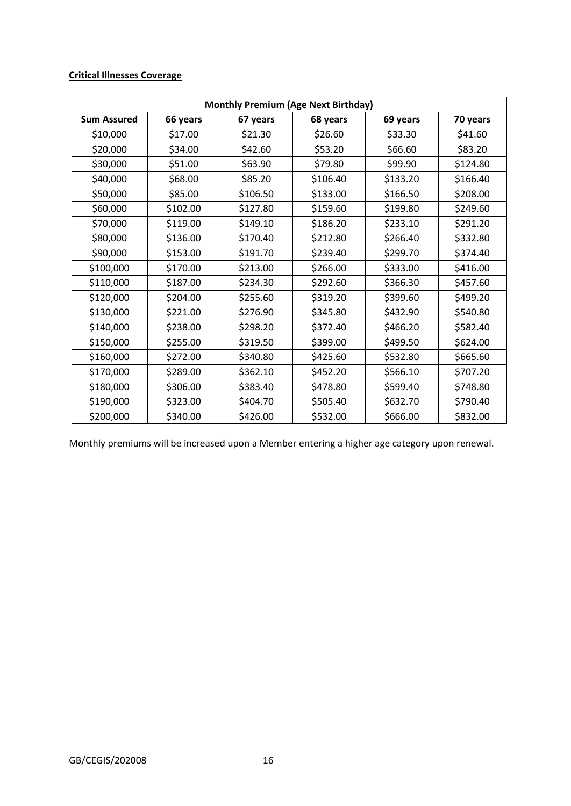# **Critical Illnesses Coverage**

| <b>Monthly Premium (Age Next Birthday)</b> |          |          |          |          |          |  |
|--------------------------------------------|----------|----------|----------|----------|----------|--|
| <b>Sum Assured</b>                         | 66 years | 67 years | 68 years | 69 years | 70 years |  |
| \$10,000                                   | \$17.00  | \$21.30  | \$26.60  | \$33.30  | \$41.60  |  |
| \$20,000                                   | \$34.00  | \$42.60  | \$53.20  | \$66.60  | \$83.20  |  |
| \$30,000                                   | \$51.00  | \$63.90  | \$79.80  | \$99.90  | \$124.80 |  |
| \$40,000                                   | \$68.00  | \$85.20  | \$106.40 | \$133.20 | \$166.40 |  |
| \$50,000                                   | \$85.00  | \$106.50 | \$133.00 | \$166.50 | \$208.00 |  |
| \$60,000                                   | \$102.00 | \$127.80 | \$159.60 | \$199.80 | \$249.60 |  |
| \$70,000                                   | \$119.00 | \$149.10 | \$186.20 | \$233.10 | \$291.20 |  |
| \$80,000                                   | \$136.00 | \$170.40 | \$212.80 | \$266.40 | \$332.80 |  |
| \$90,000                                   | \$153.00 | \$191.70 | \$239.40 | \$299.70 | \$374.40 |  |
| \$100,000                                  | \$170.00 | \$213.00 | \$266.00 | \$333.00 | \$416.00 |  |
| \$110,000                                  | \$187.00 | \$234.30 | \$292.60 | \$366.30 | \$457.60 |  |
| \$120,000                                  | \$204.00 | \$255.60 | \$319.20 | \$399.60 | \$499.20 |  |
| \$130,000                                  | \$221.00 | \$276.90 | \$345.80 | \$432.90 | \$540.80 |  |
| \$140,000                                  | \$238.00 | \$298.20 | \$372.40 | \$466.20 | \$582.40 |  |
| \$150,000                                  | \$255.00 | \$319.50 | \$399.00 | \$499.50 | \$624.00 |  |
| \$160,000                                  | \$272.00 | \$340.80 | \$425.60 | \$532.80 | \$665.60 |  |
| \$170,000                                  | \$289.00 | \$362.10 | \$452.20 | \$566.10 | \$707.20 |  |
| \$180,000                                  | \$306.00 | \$383.40 | \$478.80 | \$599.40 | \$748.80 |  |
| \$190,000                                  | \$323.00 | \$404.70 | \$505.40 | \$632.70 | \$790.40 |  |
| \$200,000                                  | \$340.00 | \$426.00 | \$532.00 | \$666.00 | \$832.00 |  |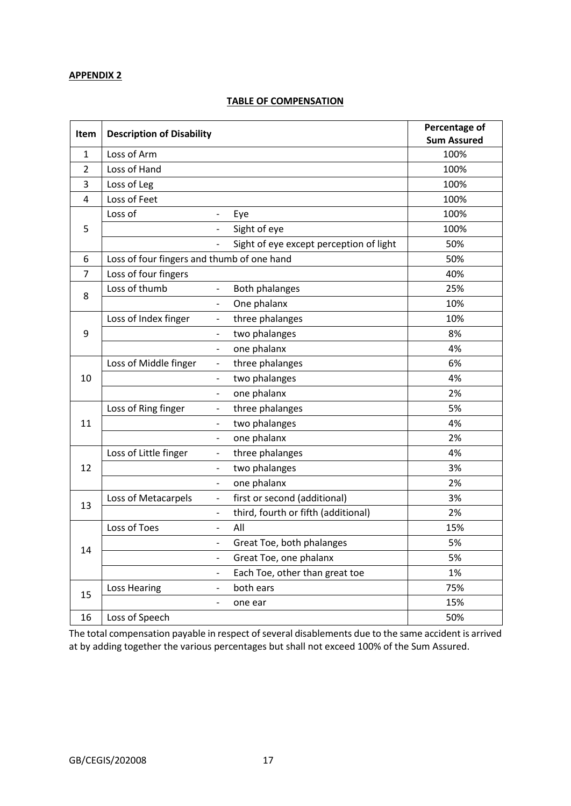### **APPENDIX 2**

# **TABLE OF COMPENSATION**

| Item           | <b>Description of Disability</b>           |                              |                                         | Percentage of |
|----------------|--------------------------------------------|------------------------------|-----------------------------------------|---------------|
|                |                                            | <b>Sum Assured</b>           |                                         |               |
| $\mathbf{1}$   | Loss of Arm                                |                              |                                         | 100%          |
| $\overline{2}$ | Loss of Hand                               |                              |                                         | 100%          |
| 3              | Loss of Leg                                |                              |                                         | 100%          |
| 4              | Loss of Feet                               |                              |                                         | 100%          |
|                | Loss of                                    | $\qquad \qquad \blacksquare$ | Eye                                     | 100%          |
| 5              |                                            |                              | Sight of eye                            | 100%          |
|                |                                            |                              | Sight of eye except perception of light | 50%           |
| 6              | Loss of four fingers and thumb of one hand |                              |                                         | 50%           |
| $\overline{7}$ | Loss of four fingers                       |                              |                                         | 40%           |
| 8              | Loss of thumb                              | $\overline{\phantom{0}}$     | Both phalanges                          | 25%           |
|                |                                            | $\overline{\phantom{0}}$     | One phalanx                             | 10%           |
|                | Loss of Index finger                       | $\overline{\phantom{0}}$     | three phalanges                         | 10%           |
| 9              |                                            | -                            | two phalanges                           | 8%            |
|                |                                            | $\overline{a}$               | one phalanx                             | 4%            |
|                | Loss of Middle finger                      | $\qquad \qquad -$            | three phalanges                         | 6%            |
| 10             |                                            | $\overline{\phantom{0}}$     | two phalanges                           | 4%            |
|                |                                            | $\overline{\phantom{0}}$     | one phalanx                             | 2%            |
|                | Loss of Ring finger                        | $\qquad \qquad -$            | three phalanges                         | 5%            |
| 11             |                                            | $\overline{\phantom{0}}$     | two phalanges                           | 4%            |
|                |                                            | $\overline{\phantom{0}}$     | one phalanx                             | 2%            |
|                | Loss of Little finger                      | $\overline{\phantom{0}}$     | three phalanges                         | 4%            |
| 12             |                                            | $\qquad \qquad \blacksquare$ | two phalanges                           | 3%            |
|                |                                            | -                            | one phalanx                             | 2%            |
| 13             | Loss of Metacarpels                        | $\qquad \qquad \blacksquare$ | first or second (additional)            | 3%            |
|                |                                            | $\qquad \qquad -$            | third, fourth or fifth (additional)     | 2%            |
|                | Loss of Toes                               | $\overline{a}$               | All                                     | 15%           |
| 14             |                                            | $\overline{\phantom{0}}$     | Great Toe, both phalanges               | 5%            |
|                |                                            | -                            | Great Toe, one phalanx                  | 5%            |
|                |                                            |                              | Each Toe, other than great toe          | 1%            |
|                | Loss Hearing                               | -                            | both ears                               | 75%           |
| 15             |                                            | -                            | one ear                                 | 15%           |
| 16             | Loss of Speech                             |                              |                                         | 50%           |

The total compensation payable in respect of several disablements due to the same accident is arrived at by adding together the various percentages but shall not exceed 100% of the Sum Assured.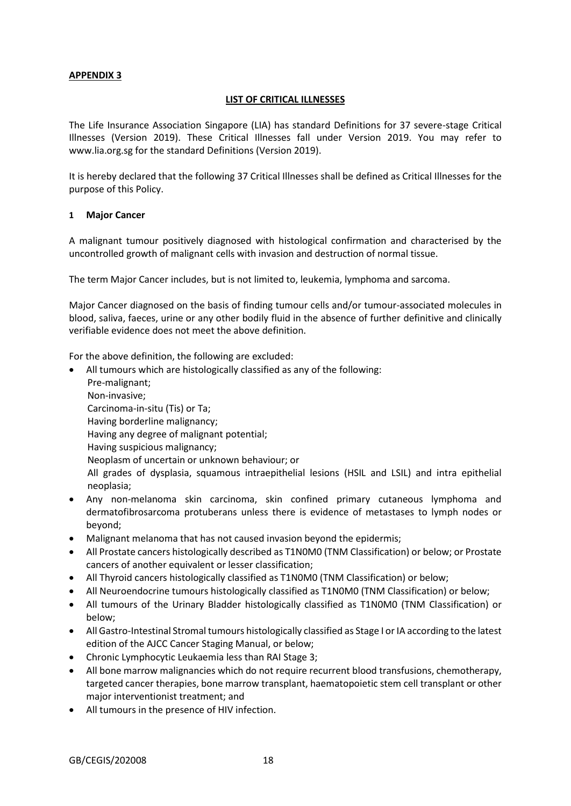# **APPENDIX 3**

### **LIST OF CRITICAL ILLNESSES**

The Life Insurance Association Singapore (LIA) has standard Definitions for 37 severe-stage Critical Illnesses (Version 2019). These Critical Illnesses fall under Version 2019. You may refer to www.lia.org.sg for the standard Definitions (Version 2019).

It is hereby declared that the following 37 Critical Illnesses shall be defined as Critical Illnesses for the purpose of this Policy.

### **1 Major Cancer**

A malignant tumour positively diagnosed with histological confirmation and characterised by the uncontrolled growth of malignant cells with invasion and destruction of normal tissue.

The term Major Cancer includes, but is not limited to, leukemia, lymphoma and sarcoma.

Major Cancer diagnosed on the basis of finding tumour cells and/or tumour-associated molecules in blood, saliva, faeces, urine or any other bodily fluid in the absence of further definitive and clinically verifiable evidence does not meet the above definition.

For the above definition, the following are excluded:

- All tumours which are histologically classified as any of the following: Pre-malignant; Non-invasive; Carcinoma-in-situ (Tis) or Ta; Having borderline malignancy; Having any degree of malignant potential; Having suspicious malignancy; Neoplasm of uncertain or unknown behaviour; or All grades of dysplasia, squamous intraepithelial lesions (HSIL and LSIL) and intra epithelial neoplasia;
- Any non-melanoma skin carcinoma, skin confined primary cutaneous lymphoma and dermatofibrosarcoma protuberans unless there is evidence of metastases to lymph nodes or beyond;
- Malignant melanoma that has not caused invasion beyond the epidermis;
- All Prostate cancers histologically described as T1N0M0 (TNM Classification) or below; or Prostate cancers of another equivalent or lesser classification;
- All Thyroid cancers histologically classified as T1N0M0 (TNM Classification) or below;
- All Neuroendocrine tumours histologically classified as T1N0M0 (TNM Classification) or below;
- All tumours of the Urinary Bladder histologically classified as T1N0M0 (TNM Classification) or below;
- All Gastro-Intestinal Stromal tumours histologically classified as Stage I or IA according to the latest edition of the AJCC Cancer Staging Manual, or below;
- Chronic Lymphocytic Leukaemia less than RAI Stage 3;
- All bone marrow malignancies which do not require recurrent blood transfusions, chemotherapy, targeted cancer therapies, bone marrow transplant, haematopoietic stem cell transplant or other major interventionist treatment; and
- All tumours in the presence of HIV infection.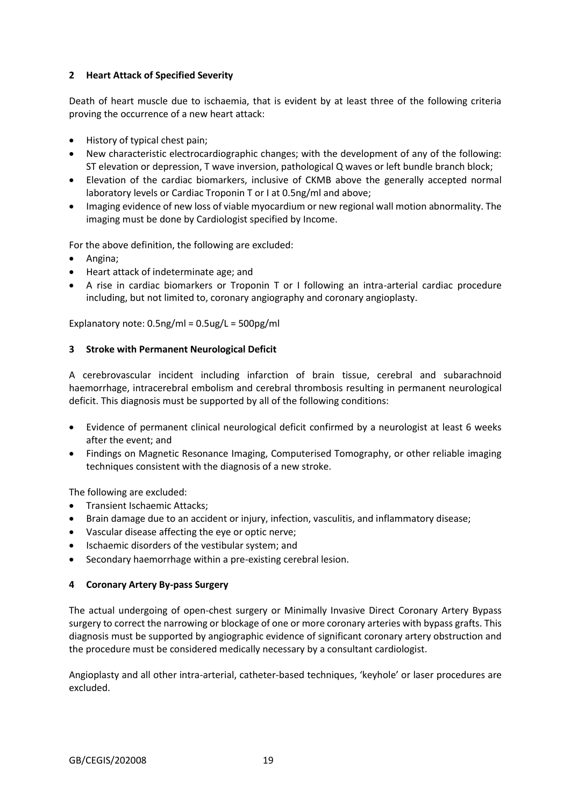# **2 Heart Attack of Specified Severity**

Death of heart muscle due to ischaemia, that is evident by at least three of the following criteria proving the occurrence of a new heart attack:

- History of typical chest pain;
- New characteristic electrocardiographic changes; with the development of any of the following: ST elevation or depression, T wave inversion, pathological Q waves or left bundle branch block;
- Elevation of the cardiac biomarkers, inclusive of CKMB above the generally accepted normal laboratory levels or Cardiac Troponin T or I at 0.5ng/ml and above;
- Imaging evidence of new loss of viable myocardium or new regional wall motion abnormality. The imaging must be done by Cardiologist specified by Income.

For the above definition, the following are excluded:

- Angina;
- Heart attack of indeterminate age; and
- A rise in cardiac biomarkers or Troponin T or I following an intra-arterial cardiac procedure including, but not limited to, coronary angiography and coronary angioplasty.

Explanatory note: 0.5ng/ml = 0.5ug/L = 500pg/ml

### **3 Stroke with Permanent Neurological Deficit**

A cerebrovascular incident including infarction of brain tissue, cerebral and subarachnoid haemorrhage, intracerebral embolism and cerebral thrombosis resulting in permanent neurological deficit. This diagnosis must be supported by all of the following conditions:

- Evidence of permanent clinical neurological deficit confirmed by a neurologist at least 6 weeks after the event; and
- Findings on Magnetic Resonance Imaging, Computerised Tomography, or other reliable imaging techniques consistent with the diagnosis of a new stroke.

The following are excluded:

- Transient Ischaemic Attacks;
- Brain damage due to an accident or injury, infection, vasculitis, and inflammatory disease;
- Vascular disease affecting the eye or optic nerve;
- Ischaemic disorders of the vestibular system; and
- Secondary haemorrhage within a pre-existing cerebral lesion.

### **4 Coronary Artery By-pass Surgery**

The actual undergoing of open-chest surgery or Minimally Invasive Direct Coronary Artery Bypass surgery to correct the narrowing or blockage of one or more coronary arteries with bypass grafts. This diagnosis must be supported by angiographic evidence of significant coronary artery obstruction and the procedure must be considered medically necessary by a consultant cardiologist.

Angioplasty and all other intra-arterial, catheter-based techniques, 'keyhole' or laser procedures are excluded.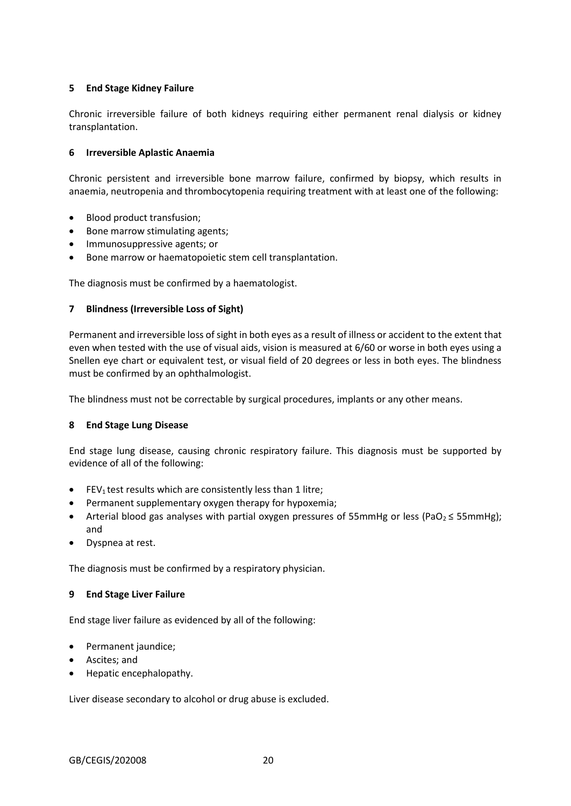# **5 End Stage Kidney Failure**

Chronic irreversible failure of both kidneys requiring either permanent renal dialysis or kidney transplantation.

# **6 Irreversible Aplastic Anaemia**

Chronic persistent and irreversible bone marrow failure, confirmed by biopsy, which results in anaemia, neutropenia and thrombocytopenia requiring treatment with at least one of the following:

- Blood product transfusion;
- Bone marrow stimulating agents;
- Immunosuppressive agents; or
- Bone marrow or haematopoietic stem cell transplantation.

The diagnosis must be confirmed by a haematologist.

### **7 Blindness (Irreversible Loss of Sight)**

Permanent and irreversible loss of sight in both eyes as a result of illness or accident to the extent that even when tested with the use of visual aids, vision is measured at 6/60 or worse in both eyes using a Snellen eye chart or equivalent test, or visual field of 20 degrees or less in both eyes. The blindness must be confirmed by an ophthalmologist.

The blindness must not be correctable by surgical procedures, implants or any other means.

### **8 End Stage Lung Disease**

End stage lung disease, causing chronic respiratory failure. This diagnosis must be supported by evidence of all of the following:

- **•** FEV<sub>1</sub> test results which are consistently less than 1 litre;
- Permanent supplementary oxygen therapy for hypoxemia;
- Arterial blood gas analyses with partial oxygen pressures of 55mmHg or less (PaO2 ≤ 55mmHg); and
- Dyspnea at rest.

The diagnosis must be confirmed by a respiratory physician.

### **9 End Stage Liver Failure**

End stage liver failure as evidenced by all of the following:

- Permanent jaundice;
- Ascites; and
- Hepatic encephalopathy.

Liver disease secondary to alcohol or drug abuse is excluded.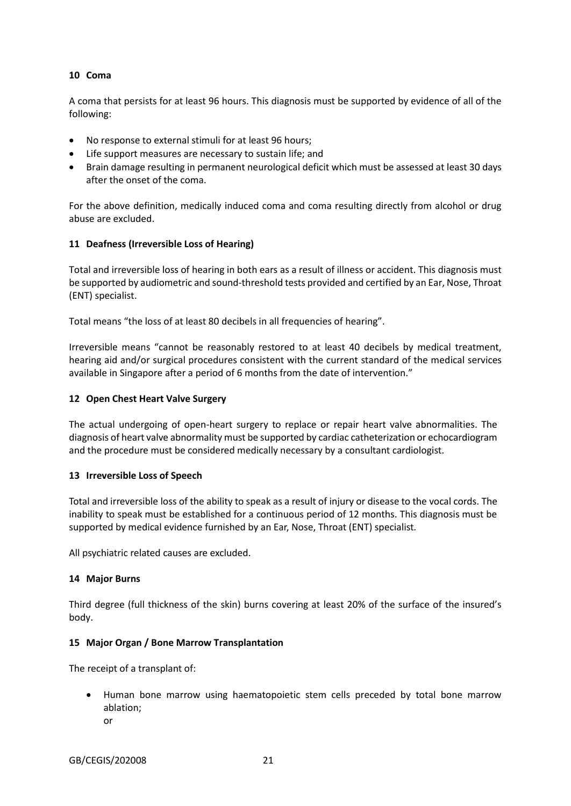# **10 Coma**

A coma that persists for at least 96 hours. This diagnosis must be supported by evidence of all of the following:

- No response to external stimuli for at least 96 hours;
- Life support measures are necessary to sustain life; and
- Brain damage resulting in permanent neurological deficit which must be assessed at least 30 days after the onset of the coma.

For the above definition, medically induced coma and coma resulting directly from alcohol or drug abuse are excluded.

# **11 Deafness (Irreversible Loss of Hearing)**

Total and irreversible loss of hearing in both ears as a result of illness or accident. This diagnosis must be supported by audiometric and sound-threshold tests provided and certified by an Ear, Nose, Throat (ENT) specialist.

Total means "the loss of at least 80 decibels in all frequencies of hearing".

Irreversible means "cannot be reasonably restored to at least 40 decibels by medical treatment, hearing aid and/or surgical procedures consistent with the current standard of the medical services available in Singapore after a period of 6 months from the date of intervention."

# **12 Open Chest Heart Valve Surgery**

The actual undergoing of open-heart surgery to replace or repair heart valve abnormalities. The diagnosis of heart valve abnormality must be supported by cardiac catheterization or echocardiogram and the procedure must be considered medically necessary by a consultant cardiologist.

### **13 Irreversible Loss of Speech**

Total and irreversible loss of the ability to speak as a result of injury or disease to the vocal cords. The inability to speak must be established for a continuous period of 12 months. This diagnosis must be supported by medical evidence furnished by an Ear, Nose, Throat (ENT) specialist.

All psychiatric related causes are excluded.

### **14 Major Burns**

Third degree (full thickness of the skin) burns covering at least 20% of the surface of the insured's body.

### **15 Major Organ / Bone Marrow Transplantation**

The receipt of a transplant of:

- Human bone marrow using haematopoietic stem cells preceded by total bone marrow ablation;
	- or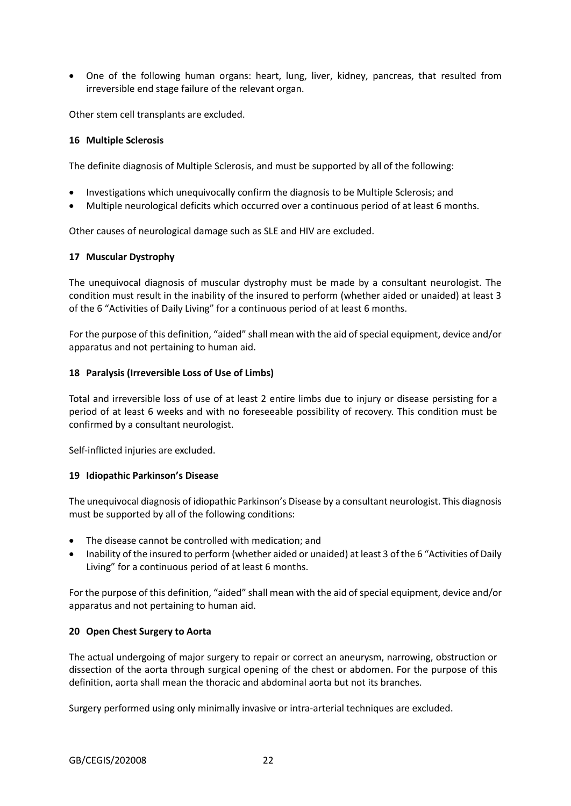One of the following human organs: heart, lung, liver, kidney, pancreas, that resulted from irreversible end stage failure of the relevant organ.

Other stem cell transplants are excluded.

#### **16 Multiple Sclerosis**

The definite diagnosis of Multiple Sclerosis, and must be supported by all of the following:

- Investigations which unequivocally confirm the diagnosis to be Multiple Sclerosis; and
- Multiple neurological deficits which occurred over a continuous period of at least 6 months.

Other causes of neurological damage such as SLE and HIV are excluded.

### **17 Muscular Dystrophy**

The unequivocal diagnosis of muscular dystrophy must be made by a consultant neurologist. The condition must result in the inability of the insured to perform (whether aided or unaided) at least 3 of the 6 "Activities of Daily Living" for a continuous period of at least 6 months.

For the purpose of this definition, "aided" shall mean with the aid of special equipment, device and/or apparatus and not pertaining to human aid.

### **18 Paralysis (Irreversible Loss of Use of Limbs)**

Total and irreversible loss of use of at least 2 entire limbs due to injury or disease persisting for a period of at least 6 weeks and with no foreseeable possibility of recovery. This condition must be confirmed by a consultant neurologist.

Self-inflicted injuries are excluded.

#### **19 Idiopathic Parkinson's Disease**

The unequivocal diagnosis of idiopathic Parkinson's Disease by a consultant neurologist. This diagnosis must be supported by all of the following conditions:

- The disease cannot be controlled with medication; and
- Inability of the insured to perform (whether aided or unaided) at least 3 of the 6 "Activities of Daily Living" for a continuous period of at least 6 months.

For the purpose of this definition, "aided" shall mean with the aid of special equipment, device and/or apparatus and not pertaining to human aid.

### **20 Open Chest Surgery to Aorta**

The actual undergoing of major surgery to repair or correct an aneurysm, narrowing, obstruction or dissection of the aorta through surgical opening of the chest or abdomen. For the purpose of this definition, aorta shall mean the thoracic and abdominal aorta but not its branches.

Surgery performed using only minimally invasive or intra-arterial techniques are excluded.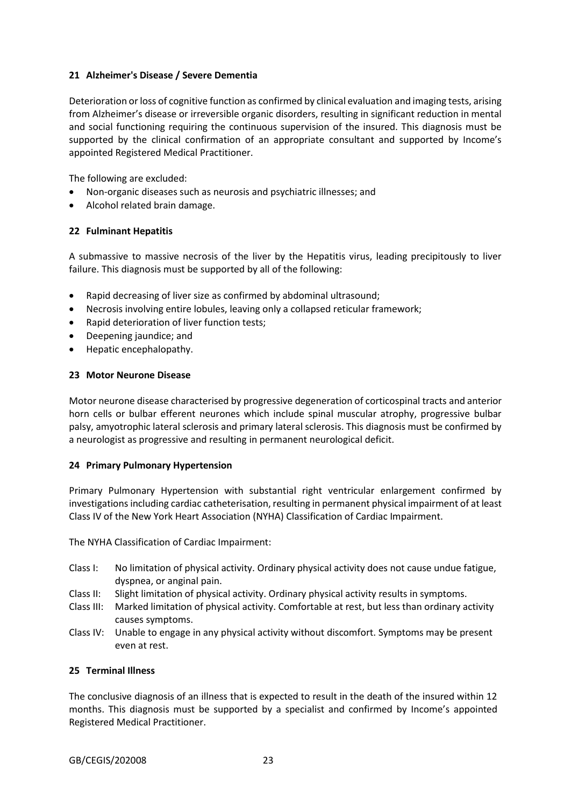# **21 Alzheimer's Disease / Severe Dementia**

Deterioration or loss of cognitive function as confirmed by clinical evaluation and imaging tests, arising from Alzheimer's disease or irreversible organic disorders, resulting in significant reduction in mental and social functioning requiring the continuous supervision of the insured. This diagnosis must be supported by the clinical confirmation of an appropriate consultant and supported by Income's appointed Registered Medical Practitioner.

The following are excluded:

- Non-organic diseases such as neurosis and psychiatric illnesses; and
- Alcohol related brain damage.

### **22 Fulminant Hepatitis**

A submassive to massive necrosis of the liver by the Hepatitis virus, leading precipitously to liver failure. This diagnosis must be supported by all of the following:

- Rapid decreasing of liver size as confirmed by abdominal ultrasound;
- Necrosis involving entire lobules, leaving only a collapsed reticular framework;
- Rapid deterioration of liver function tests;
- Deepening jaundice; and
- Hepatic encephalopathy.

### **23 Motor Neurone Disease**

Motor neurone disease characterised by progressive degeneration of corticospinal tracts and anterior horn cells or bulbar efferent neurones which include spinal muscular atrophy, progressive bulbar palsy, amyotrophic lateral sclerosis and primary lateral sclerosis. This diagnosis must be confirmed by a neurologist as progressive and resulting in permanent neurological deficit.

### **24 Primary Pulmonary Hypertension**

Primary Pulmonary Hypertension with substantial right ventricular enlargement confirmed by investigations including cardiac catheterisation, resulting in permanent physical impairment of at least Class IV of the New York Heart Association (NYHA) Classification of Cardiac Impairment.

The NYHA Classification of Cardiac Impairment:

- Class I: No limitation of physical activity. Ordinary physical activity does not cause undue fatigue, dyspnea, or anginal pain.
- Class II: Slight limitation of physical activity. Ordinary physical activity results in symptoms.
- Class III: Marked limitation of physical activity. Comfortable at rest, but less than ordinary activity causes symptoms.
- Class IV: Unable to engage in any physical activity without discomfort. Symptoms may be present even at rest.

### **25 Terminal Illness**

The conclusive diagnosis of an illness that is expected to result in the death of the insured within 12 months. This diagnosis must be supported by a specialist and confirmed by Income's appointed Registered Medical Practitioner.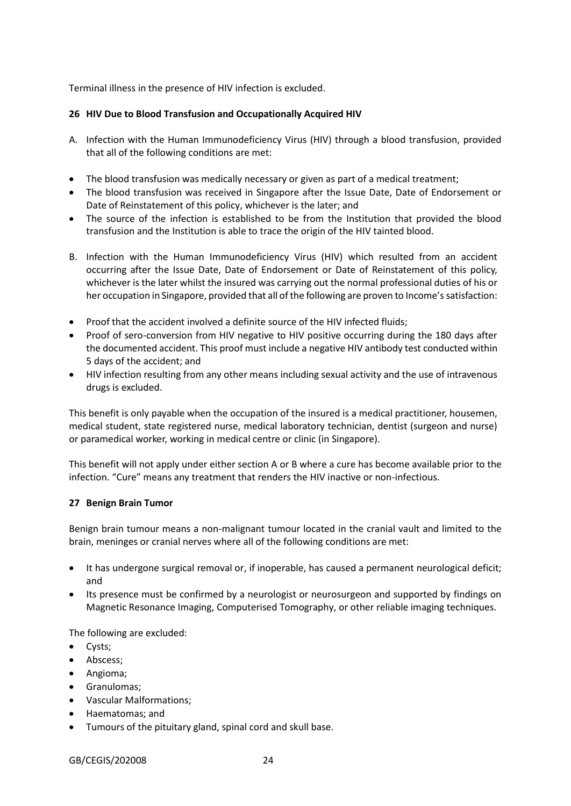Terminal illness in the presence of HIV infection is excluded.

# **26 HIV Due to Blood Transfusion and Occupationally Acquired HIV**

- A. Infection with the Human Immunodeficiency Virus (HIV) through a blood transfusion, provided that all of the following conditions are met:
- The blood transfusion was medically necessary or given as part of a medical treatment;
- The blood transfusion was received in Singapore after the Issue Date, Date of Endorsement or Date of Reinstatement of this policy, whichever is the later; and
- The source of the infection is established to be from the Institution that provided the blood transfusion and the Institution is able to trace the origin of the HIV tainted blood.
- B. Infection with the Human Immunodeficiency Virus (HIV) which resulted from an accident occurring after the Issue Date, Date of Endorsement or Date of Reinstatement of this policy, whichever is the later whilst the insured was carrying out the normal professional duties of his or her occupation in Singapore, provided that all of the following are proven to Income's satisfaction:
- Proof that the accident involved a definite source of the HIV infected fluids;
- Proof of sero-conversion from HIV negative to HIV positive occurring during the 180 days after the documented accident. This proof must include a negative HIV antibody test conducted within 5 days of the accident; and
- HIV infection resulting from any other means including sexual activity and the use of intravenous drugs is excluded.

This benefit is only payable when the occupation of the insured is a medical practitioner, housemen, medical student, state registered nurse, medical laboratory technician, dentist (surgeon and nurse) or paramedical worker, working in medical centre or clinic (in Singapore).

This benefit will not apply under either section A or B where a cure has become available prior to the infection. "Cure" means any treatment that renders the HIV inactive or non-infectious.

### **27 Benign Brain Tumor**

Benign brain tumour means a non-malignant tumour located in the cranial vault and limited to the brain, meninges or cranial nerves where all of the following conditions are met:

- It has undergone surgical removal or, if inoperable, has caused a permanent neurological deficit; and
- Its presence must be confirmed by a neurologist or neurosurgeon and supported by findings on Magnetic Resonance Imaging, Computerised Tomography, or other reliable imaging techniques.

The following are excluded:

- Cysts;
- Abscess;
- Angioma;
- **•** Granulomas;
- Vascular Malformations;
- Haematomas; and
- Tumours of the pituitary gland, spinal cord and skull base.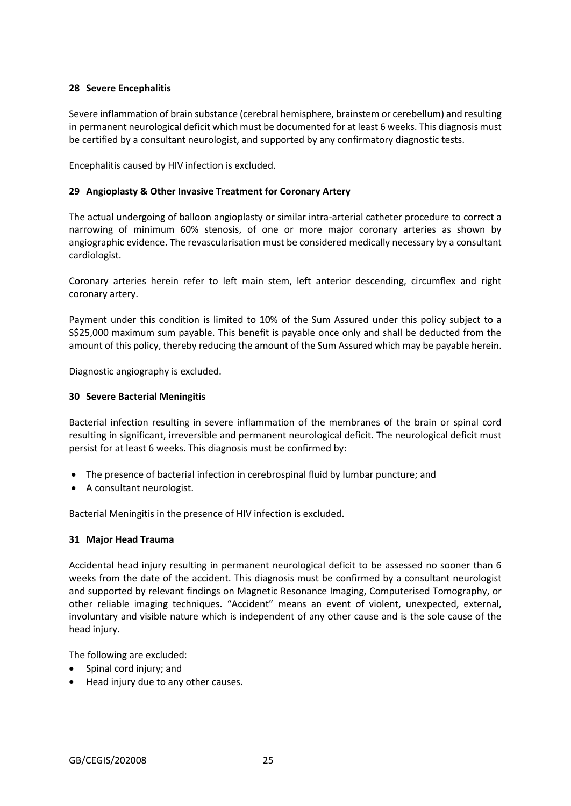# **28 Severe Encephalitis**

Severe inflammation of brain substance (cerebral hemisphere, brainstem or cerebellum) and resulting in permanent neurological deficit which must be documented for at least 6 weeks. This diagnosis must be certified by a consultant neurologist, and supported by any confirmatory diagnostic tests.

Encephalitis caused by HIV infection is excluded.

# **29 Angioplasty & Other Invasive Treatment for Coronary Artery**

The actual undergoing of balloon angioplasty or similar intra-arterial catheter procedure to correct a narrowing of minimum 60% stenosis, of one or more major coronary arteries as shown by angiographic evidence. The revascularisation must be considered medically necessary by a consultant cardiologist.

Coronary arteries herein refer to left main stem, left anterior descending, circumflex and right coronary artery.

Payment under this condition is limited to 10% of the Sum Assured under this policy subject to a S\$25,000 maximum sum payable. This benefit is payable once only and shall be deducted from the amount of this policy, thereby reducing the amount of the Sum Assured which may be payable herein.

Diagnostic angiography is excluded.

# **30 Severe Bacterial Meningitis**

Bacterial infection resulting in severe inflammation of the membranes of the brain or spinal cord resulting in significant, irreversible and permanent neurological deficit. The neurological deficit must persist for at least 6 weeks. This diagnosis must be confirmed by:

- The presence of bacterial infection in cerebrospinal fluid by lumbar puncture; and
- A consultant neurologist.

Bacterial Meningitis in the presence of HIV infection is excluded.

### **31 Major Head Trauma**

Accidental head injury resulting in permanent neurological deficit to be assessed no sooner than 6 weeks from the date of the accident. This diagnosis must be confirmed by a consultant neurologist and supported by relevant findings on Magnetic Resonance Imaging, Computerised Tomography, or other reliable imaging techniques. "Accident" means an event of violent, unexpected, external, involuntary and visible nature which is independent of any other cause and is the sole cause of the head injury.

The following are excluded:

- Spinal cord injury; and
- Head injury due to any other causes.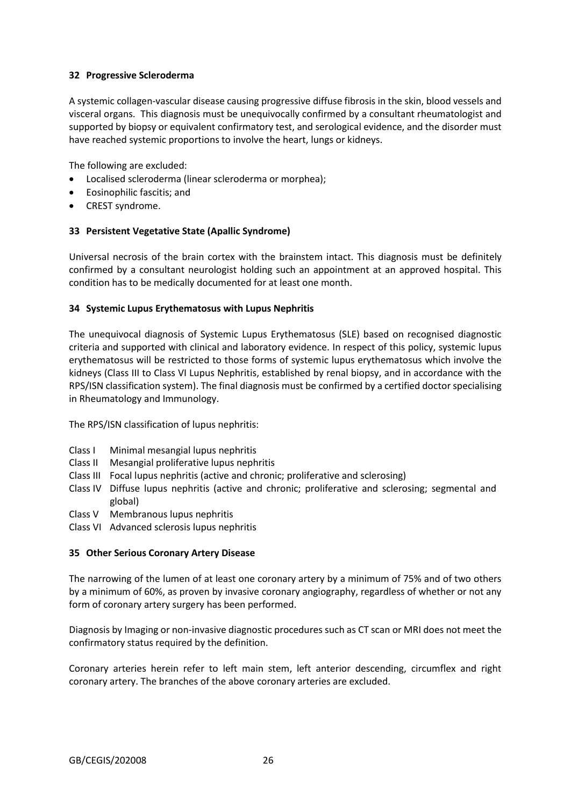# **32 Progressive Scleroderma**

A systemic collagen-vascular disease causing progressive diffuse fibrosis in the skin, blood vessels and visceral organs. This diagnosis must be unequivocally confirmed by a consultant rheumatologist and supported by biopsy or equivalent confirmatory test, and serological evidence, and the disorder must have reached systemic proportions to involve the heart, lungs or kidneys.

The following are excluded:

- Localised scleroderma (linear scleroderma or morphea);
- Eosinophilic fascitis; and
- CREST syndrome.

### **33 Persistent Vegetative State (Apallic Syndrome)**

Universal necrosis of the brain cortex with the brainstem intact. This diagnosis must be definitely confirmed by a consultant neurologist holding such an appointment at an approved hospital. This condition has to be medically documented for at least one month.

### **34 Systemic Lupus Erythematosus with Lupus Nephritis**

The unequivocal diagnosis of Systemic Lupus Erythematosus (SLE) based on recognised diagnostic criteria and supported with clinical and laboratory evidence. In respect of this policy, systemic lupus erythematosus will be restricted to those forms of systemic lupus erythematosus which involve the kidneys (Class III to Class VI Lupus Nephritis, established by renal biopsy, and in accordance with the RPS/ISN classification system). The final diagnosis must be confirmed by a certified doctor specialising in Rheumatology and Immunology.

The RPS/ISN classification of lupus nephritis:

- Class I Minimal mesangial lupus nephritis
- Class II Mesangial proliferative lupus nephritis
- Class III Focal lupus nephritis (active and chronic; proliferative and sclerosing)
- Class IV Diffuse lupus nephritis (active and chronic; proliferative and sclerosing; segmental and global)
- Class V Membranous lupus nephritis
- Class VI Advanced sclerosis lupus nephritis

### **35 Other Serious Coronary Artery Disease**

The narrowing of the lumen of at least one coronary artery by a minimum of 75% and of two others by a minimum of 60%, as proven by invasive coronary angiography, regardless of whether or not any form of coronary artery surgery has been performed.

Diagnosis by Imaging or non-invasive diagnostic procedures such as CT scan or MRI does not meet the confirmatory status required by the definition.

Coronary arteries herein refer to left main stem, left anterior descending, circumflex and right coronary artery. The branches of the above coronary arteries are excluded.